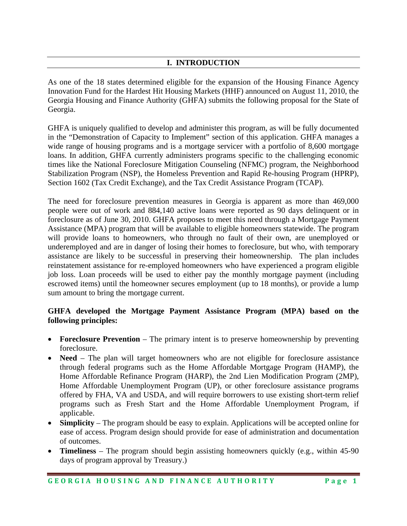## **I. INTRODUCTION**

As one of the 18 states determined eligible for the expansion of the Housing Finance Agency Innovation Fund for the Hardest Hit Housing Markets (HHF) announced on August 11, 2010, the Georgia Housing and Finance Authority (GHFA) submits the following proposal for the State of Georgia.

GHFA is uniquely qualified to develop and administer this program, as will be fully documented in the "Demonstration of Capacity to Implement" section of this application. GHFA manages a wide range of housing programs and is a mortgage servicer with a portfolio of 8,600 mortgage loans. In addition, GHFA currently administers programs specific to the challenging economic times like the National Foreclosure Mitigation Counseling (NFMC) program, the Neighborhood Stabilization Program (NSP), the Homeless Prevention and Rapid Re-housing Program (HPRP), Section 1602 (Tax Credit Exchange), and the Tax Credit Assistance Program (TCAP).

The need for foreclosure prevention measures in Georgia is apparent as more than 469,000 people were out of work and 884,140 active loans were reported as 90 days delinquent or in foreclosure as of June 30, 2010. GHFA proposes to meet this need through a Mortgage Payment Assistance (MPA) program that will be available to eligible homeowners statewide. The program will provide loans to homeowners, who through no fault of their own, are unemployed or underemployed and are in danger of losing their homes to foreclosure, but who, with temporary assistance are likely to be successful in preserving their homeownership. The plan includes reinstatement assistance for re-employed homeowners who have experienced a program eligible job loss. Loan proceeds will be used to either pay the monthly mortgage payment (including escrowed items) until the homeowner secures employment (up to 18 months), or provide a lump sum amount to bring the mortgage current.

# **GHFA developed the Mortgage Payment Assistance Program (MPA) based on the following principles:**

- **Foreclosure Prevention** The primary intent is to preserve homeownership by preventing foreclosure.
- Need The plan will target homeowners who are not eligible for foreclosure assistance through federal programs such as the Home Affordable Mortgage Program (HAMP), the Home Affordable Refinance Program (HARP), the 2nd Lien Modification Program (2MP), Home Affordable Unemployment Program (UP), or other foreclosure assistance programs offered by FHA, VA and USDA, and will require borrowers to use existing short-term relief programs such as Fresh Start and the Home Affordable Unemployment Program, if applicable.
- **Simplicity** The program should be easy to explain. Applications will be accepted online for ease of access. Program design should provide for ease of administration and documentation of outcomes.
- **Timeliness** The program should begin assisting homeowners quickly (e.g., within 45-90 days of program approval by Treasury.)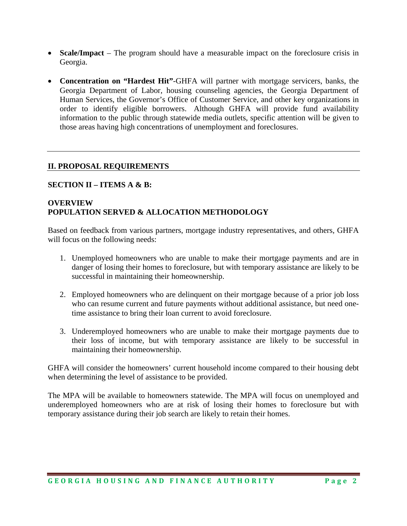- **Scale/Impact** The program should have a measurable impact on the foreclosure crisis in Georgia.
- **Concentration on "Hardest Hit"**-GHFA will partner with mortgage servicers, banks, the Georgia Department of Labor, housing counseling agencies, the Georgia Department of Human Services, the Governor's Office of Customer Service, and other key organizations in order to identify eligible borrowers. Although GHFA will provide fund availability information to the public through statewide media outlets, specific attention will be given to those areas having high concentrations of unemployment and foreclosures.

### **II. PROPOSAL REQUIREMENTS**

### **SECTION II – ITEMS A & B:**

# **OVERVIEW POPULATION SERVED & ALLOCATION METHODOLOGY**

Based on feedback from various partners, mortgage industry representatives, and others, GHFA will focus on the following needs:

- 1. Unemployed homeowners who are unable to make their mortgage payments and are in danger of losing their homes to foreclosure, but with temporary assistance are likely to be successful in maintaining their homeownership.
- 2. Employed homeowners who are delinquent on their mortgage because of a prior job loss who can resume current and future payments without additional assistance, but need onetime assistance to bring their loan current to avoid foreclosure.
- 3. Underemployed homeowners who are unable to make their mortgage payments due to their loss of income, but with temporary assistance are likely to be successful in maintaining their homeownership.

GHFA will consider the homeowners' current household income compared to their housing debt when determining the level of assistance to be provided.

The MPA will be available to homeowners statewide. The MPA will focus on unemployed and underemployed homeowners who are at risk of losing their homes to foreclosure but with temporary assistance during their job search are likely to retain their homes.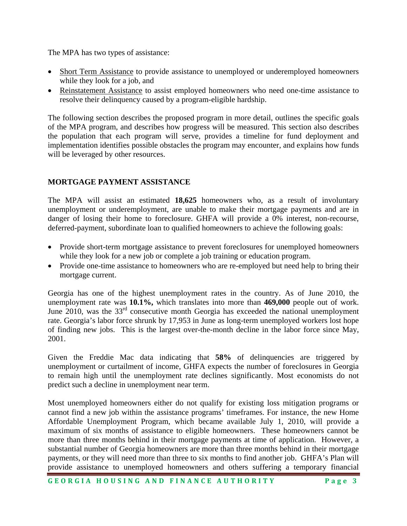The MPA has two types of assistance:

- Short Term Assistance to provide assistance to unemployed or underemployed homeowners while they look for a job, and
- Reinstatement Assistance to assist employed homeowners who need one-time assistance to resolve their delinquency caused by a program-eligible hardship.

The following section describes the proposed program in more detail, outlines the specific goals of the MPA program, and describes how progress will be measured. This section also describes the population that each program will serve, provides a timeline for fund deployment and implementation identifies possible obstacles the program may encounter, and explains how funds will be leveraged by other resources.

# **MORTGAGE PAYMENT ASSISTANCE**

The MPA will assist an estimated **18,625** homeowners who, as a result of involuntary unemployment or underemployment, are unable to make their mortgage payments and are in danger of losing their home to foreclosure. GHFA will provide a 0% interest, non-recourse, deferred-payment, subordinate loan to qualified homeowners to achieve the following goals:

- Provide short-term mortgage assistance to prevent foreclosures for unemployed homeowners while they look for a new job or complete a job training or education program.
- Provide one-time assistance to homeowners who are re-employed but need help to bring their mortgage current.

Georgia has one of the highest unemployment rates in the country. As of June 2010, the unemployment rate was **10.1%,** which translates into more than **469,000** people out of work. June 2010, was the 33<sup>rd</sup> consecutive month Georgia has exceeded the national unemployment rate. Georgia's labor force shrunk by 17,953 in June as long-term unemployed workers lost hope of finding new jobs. This is the largest over-the-month decline in the labor force since May, 2001.

Given the Freddie Mac data indicating that **58%** of delinquencies are triggered by unemployment or curtailment of income, GHFA expects the number of foreclosures in Georgia to remain high until the unemployment rate declines significantly. Most economists do not predict such a decline in unemployment near term.

Most unemployed homeowners either do not qualify for existing loss mitigation programs or cannot find a new job within the assistance programs' timeframes. For instance, the new Home Affordable Unemployment Program, which became available July 1, 2010, will provide a maximum of six months of assistance to eligible homeowners. These homeowners cannot be more than three months behind in their mortgage payments at time of application. However, a substantial number of Georgia homeowners are more than three months behind in their mortgage payments, or they will need more than three to six months to find another job. GHFA's Plan will provide assistance to unemployed homeowners and others suffering a temporary financial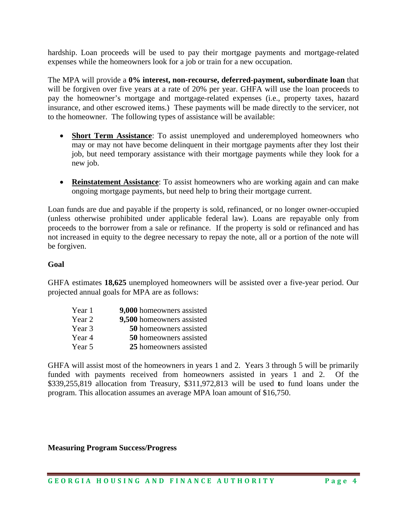hardship. Loan proceeds will be used to pay their mortgage payments and mortgage-related expenses while the homeowners look for a job or train for a new occupation.

The MPA will provide a **0% interest, non-recourse, deferred-payment, subordinate loan** that will be forgiven over five years at a rate of 20% per year. GHFA will use the loan proceeds to pay the homeowner's mortgage and mortgage-related expenses (i.e., property taxes, hazard insurance, and other escrowed items.) These payments will be made directly to the servicer, not to the homeowner. The following types of assistance will be available:

- **Short Term Assistance**: To assist unemployed and underemployed homeowners who may or may not have become delinquent in their mortgage payments after they lost their job, but need temporary assistance with their mortgage payments while they look for a new job.
- **Reinstatement Assistance**: To assist homeowners who are working again and can make ongoing mortgage payments, but need help to bring their mortgage current.

Loan funds are due and payable if the property is sold, refinanced, or no longer owner-occupied (unless otherwise prohibited under applicable federal law). Loans are repayable only from proceeds to the borrower from a sale or refinance. If the property is sold or refinanced and has not increased in equity to the degree necessary to repay the note, all or a portion of the note will be forgiven.

### **Goal**

GHFA estimates **18,625** unemployed homeowners will be assisted over a five-year period. Our projected annual goals for MPA are as follows:

| Year 1 | 9,000 homeowners assisted     |
|--------|-------------------------------|
| Year 2 | 9,500 homeowners assisted     |
| Year 3 | <b>50</b> homeowners assisted |
| Year 4 | <b>50</b> homeowners assisted |
| Year 5 | 25 homeowners assisted        |

GHFA will assist most of the homeowners in years 1 and 2. Years 3 through 5 will be primarily funded with payments received from homeowners assisted in years 1 and 2. Of the \$339,255,819 allocation from Treasury, \$311,972,813 will be used **t**o fund loans under the program. This allocation assumes an average MPA loan amount of \$16,750.

**Measuring Program Success/Progress**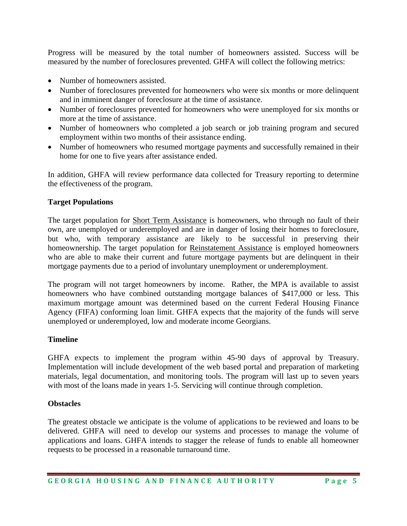Progress will be measured by the total number of homeowners assisted. Success will be measured by the number of foreclosures prevented. GHFA will collect the following metrics:

- Number of homeowners assisted.
- Number of foreclosures prevented for homeowners who were six months or more delinquent and in imminent danger of foreclosure at the time of assistance.
- Number of foreclosures prevented for homeowners who were unemployed for six months or more at the time of assistance.
- Number of homeowners who completed a job search or job training program and secured employment within two months of their assistance ending.
- Number of homeowners who resumed mortgage payments and successfully remained in their home for one to five years after assistance ended.

In addition, GHFA will review performance data collected for Treasury reporting to determine the effectiveness of the program.

### **Target Populations**

The target population for Short Term Assistance is homeowners, who through no fault of their own, are unemployed or underemployed and are in danger of losing their homes to foreclosure, but who, with temporary assistance are likely to be successful in preserving their homeownership. The target population for Reinstatement Assistance is employed homeowners who are able to make their current and future mortgage payments but are delinquent in their mortgage payments due to a period of involuntary unemployment or underemployment.

The program will not target homeowners by income. Rather, the MPA is available to assist homeowners who have combined outstanding mortgage balances of \$417,000 or less. This maximum mortgage amount was determined based on the current Federal Housing Finance Agency (FIFA) conforming loan limit. GHFA expects that the majority of the funds will serve unemployed or underemployed, low and moderate income Georgians.

### **Timeline**

GHFA expects to implement the program within 45-90 days of approval by Treasury. Implementation will include development of the web based portal and preparation of marketing materials, legal documentation, and monitoring tools. The program will last up to seven years with most of the loans made in years 1-5. Servicing will continue through completion.

### **Obstacles**

The greatest obstacle we anticipate is the volume of applications to be reviewed and loans to be delivered. GHFA will need to develop our systems and processes to manage the volume of applications and loans. GHFA intends to stagger the release of funds to enable all homeowner requests to be processed in a reasonable turnaround time.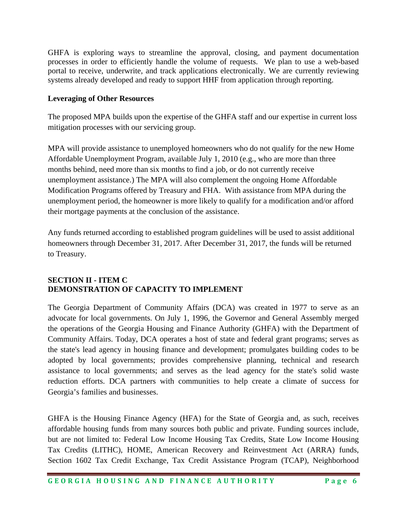GHFA is exploring ways to streamline the approval, closing, and payment documentation processes in order to efficiently handle the volume of requests. We plan to use a web-based portal to receive, underwrite, and track applications electronically. We are currently reviewing systems already developed and ready to support HHF from application through reporting.

## **Leveraging of Other Resources**

The proposed MPA builds upon the expertise of the GHFA staff and our expertise in current loss mitigation processes with our servicing group.

MPA will provide assistance to unemployed homeowners who do not qualify for the new Home Affordable Unemployment Program, available July 1, 2010 (e.g., who are more than three months behind, need more than six months to find a job, or do not currently receive unemployment assistance.) The MPA will also complement the ongoing Home Affordable Modification Programs offered by Treasury and FHA. With assistance from MPA during the unemployment period, the homeowner is more likely to qualify for a modification and/or afford their mortgage payments at the conclusion of the assistance.

Any funds returned according to established program guidelines will be used to assist additional homeowners through December 31, 2017. After December 31, 2017, the funds will be returned to Treasury.

# **SECTION II - ITEM C DEMONSTRATION OF CAPACITY TO IMPLEMENT**

The Georgia Department of Community Affairs (DCA) was created in 1977 to serve as an advocate for local governments. On July 1, 1996, the Governor and General Assembly merged the operations of the Georgia Housing and Finance Authority (GHFA) with the Department of Community Affairs. Today, DCA operates a host of state and federal grant programs; serves as the state's lead agency in housing finance and development; promulgates building codes to be adopted by local governments; provides comprehensive planning, technical and research assistance to local governments; and serves as the lead agency for the state's solid waste reduction efforts. DCA partners with communities to help create a climate of success for Georgia's families and businesses.

GHFA is the Housing Finance Agency (HFA) for the State of Georgia and, as such, receives affordable housing funds from many sources both public and private. Funding sources include, but are not limited to: Federal Low Income Housing Tax Credits, State Low Income Housing Tax Credits (LITHC), HOME, American Recovery and Reinvestment Act (ARRA) funds, Section 1602 Tax Credit Exchange, Tax Credit Assistance Program (TCAP), Neighborhood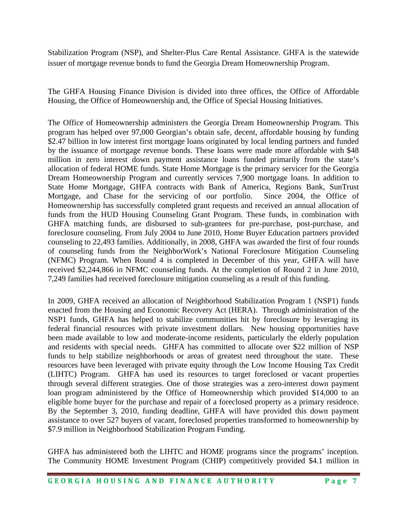Stabilization Program (NSP), and Shelter-Plus Care Rental Assistance. GHFA is the statewide issuer of mortgage revenue bonds to fund the Georgia Dream Homeownership Program.

The GHFA Housing Finance Division is divided into three offices, the Office of Affordable Housing, the Office of Homeownership and, the Office of Special Housing Initiatives.

The Office of Homeownership administers the Georgia Dream Homeownership Program. This program has helped over 97,000 Georgian's obtain safe, decent, affordable housing by funding \$2.47 billion in low interest first mortgage loans originated by local lending partners and funded by the issuance of mortgage revenue bonds. These loans were made more affordable with \$48 million in zero interest down payment assistance loans funded primarily from the state's allocation of federal HOME funds. State Home Mortgage is the primary servicer for the Georgia Dream Homeownership Program and currently services 7,900 mortgage loans. In addition to State Home Mortgage, GHFA contracts with Bank of America, Regions Bank, SunTrust Mortgage, and Chase for the servicing of our portfolio. Since 2004, the Office of Homeownership has successfully completed grant requests and received an annual allocation of funds from the HUD Housing Counseling Grant Program. These funds, in combination with GHFA matching funds, are disbursed to sub-grantees for pre-purchase, post-purchase, and foreclosure counseling. From July 2004 to June 2010, Home Buyer Education partners provided counseling to 22,493 families. Additionally, in 2008, GHFA was awarded the first of four rounds of counseling funds from the NeighborWork's National Foreclosure Mitigation Counseling (NFMC) Program. When Round 4 is completed in December of this year, GHFA will have received \$2,244,866 in NFMC counseling funds. At the completion of Round 2 in June 2010, 7,249 families had received foreclosure mitigation counseling as a result of this funding.

In 2009, GHFA received an allocation of Neighborhood Stabilization Program 1 (NSP1) funds enacted from the Housing and Economic Recovery Act (HERA). Through administration of the NSP1 funds, GHFA has helped to stabilize communities hit by foreclosure by leveraging its federal financial resources with private investment dollars. New housing opportunities have been made available to low and moderate-income residents, particularly the elderly population and residents with special needs. GHFA has committed to allocate over \$22 million of NSP funds to help stabilize neighborhoods or areas of greatest need throughout the state. These resources have been leveraged with private equity through the Low Income Housing Tax Credit (LIHTC) Program. GHFA has used its resources to target foreclosed or vacant properties through several different strategies. One of those strategies was a zero-interest down payment loan program administered by the Office of Homeownership which provided \$14,000 to an eligible home buyer for the purchase and repair of a foreclosed property as a primary residence. By the September 3, 2010, funding deadline, GHFA will have provided this down payment assistance to over 527 buyers of vacant, foreclosed properties transformed to homeownership by \$7.9 million in Neighborhood Stabilization Program Funding.

GHFA has administered both the LIHTC and HOME programs since the programs' inception. The Community HOME Investment Program (CHIP) competitively provided \$4.1 million in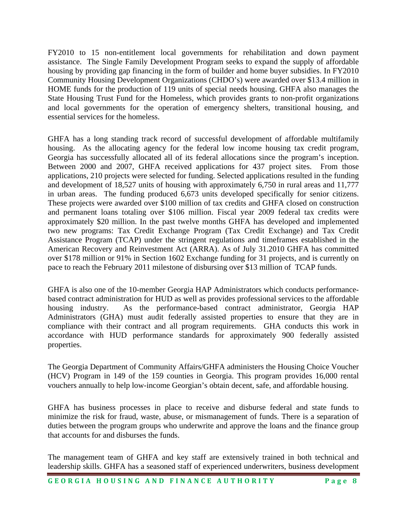FY2010 to 15 non-entitlement local governments for rehabilitation and down payment assistance. The Single Family Development Program seeks to expand the supply of affordable housing by providing gap financing in the form of builder and home buyer subsidies. In FY2010 Community Housing Development Organizations (CHDO's) were awarded over \$13.4 million in HOME funds for the production of 119 units of special needs housing. GHFA also manages the State Housing Trust Fund for the Homeless, which provides grants to non-profit organizations and local governments for the operation of emergency shelters, transitional housing, and essential services for the homeless.

GHFA has a long standing track record of successful development of affordable multifamily housing. As the allocating agency for the federal low income housing tax credit program, Georgia has successfully allocated all of its federal allocations since the program's inception. Between 2000 and 2007, GHFA received applications for 437 project sites. From those applications, 210 projects were selected for funding. Selected applications resulted in the funding and development of 18,527 units of housing with approximately 6,750 in rural areas and 11,777 in urban areas. The funding produced 6,673 units developed specifically for senior citizens. These projects were awarded over \$100 million of tax credits and GHFA closed on construction and permanent loans totaling over \$106 million. Fiscal year 2009 federal tax credits were approximately \$20 million. In the past twelve months GHFA has developed and implemented two new programs: Tax Credit Exchange Program (Tax Credit Exchange) and Tax Credit Assistance Program (TCAP) under the stringent regulations and timeframes established in the American Recovery and Reinvestment Act (ARRA). As of July 31.2010 GHFA has committed over \$178 million or 91% in Section 1602 Exchange funding for 31 projects, and is currently on pace to reach the February 2011 milestone of disbursing over \$13 million of TCAP funds.

GHFA is also one of the 10-member Georgia HAP Administrators which conducts performancebased contract administration for HUD as well as provides professional services to the affordable housing industry. As the performance-based contract administrator, Georgia HAP Administrators (GHA) must audit federally assisted properties to ensure that they are in compliance with their contract and all program requirements. GHA conducts this work in accordance with HUD performance standards for approximately 900 federally assisted properties.

The Georgia Department of Community Affairs/GHFA administers the Housing Choice Voucher (HCV) Program in 149 of the 159 counties in Georgia. This program provides 16,000 rental vouchers annually to help low-income Georgian's obtain decent, safe, and affordable housing.

GHFA has business processes in place to receive and disburse federal and state funds to minimize the risk for fraud, waste, abuse, or mismanagement of funds. There is a separation of duties between the program groups who underwrite and approve the loans and the finance group that accounts for and disburses the funds.

The management team of GHFA and key staff are extensively trained in both technical and leadership skills. GHFA has a seasoned staff of experienced underwriters, business development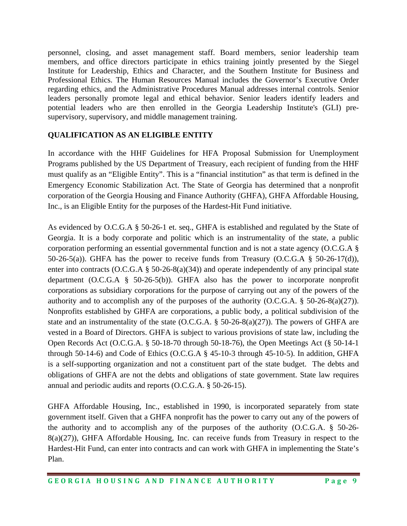personnel, closing, and asset management staff. Board members, senior leadership team members, and office directors participate in ethics training jointly presented by the Siegel Institute for Leadership, Ethics and Character, and the Southern Institute for Business and Professional Ethics. The Human Resources Manual includes the Governor's Executive Order regarding ethics, and the Administrative Procedures Manual addresses internal controls. Senior leaders personally promote legal and ethical behavior. Senior leaders identify leaders and potential leaders who are then enrolled in the Georgia Leadership Institute's (GLI) presupervisory, supervisory, and middle management training.

# **QUALIFICATION AS AN ELIGIBLE ENTITY**

In accordance with the HHF Guidelines for HFA Proposal Submission for Unemployment Programs published by the US Department of Treasury, each recipient of funding from the HHF must qualify as an "Eligible Entity". This is a "financial institution" as that term is defined in the Emergency Economic Stabilization Act. The State of Georgia has determined that a nonprofit corporation of the Georgia Housing and Finance Authority (GHFA), GHFA Affordable Housing, Inc., is an Eligible Entity for the purposes of the Hardest-Hit Fund initiative.

As evidenced by O.C.G.A § 50-26-1 et. seq., GHFA is established and regulated by the State of Georgia. It is a body corporate and politic which is an instrumentality of the state, a public corporation performing an essential governmental function and is not a state agency (O.C.G.A § 50-26-5(a)). GHFA has the power to receive funds from Treasury (O.C.G.A § 50-26-17(d)), enter into contracts (O.C.G.A § 50-26-8(a)(34)) and operate independently of any principal state department (O.C.G.A § 50-26-5(b)). GHFA also has the power to incorporate nonprofit corporations as subsidiary corporations for the purpose of carrying out any of the powers of the authority and to accomplish any of the purposes of the authority (O.C.G.A. § 50-26-8(a)(27)). Nonprofits established by GHFA are corporations, a public body, a political subdivision of the state and an instrumentality of the state  $(O.C.G.A. \S 50-26-8(a)(27))$ . The powers of GHFA are vested in a Board of Directors. GHFA is subject to various provisions of state law, including the Open Records Act (O.C.G.A. § 50-18-70 through 50-18-76), the Open Meetings Act (§ 50-14-1 through 50-14-6) and Code of Ethics (O.C.G.A § 45-10-3 through 45-10-5). In addition, GHFA is a self-supporting organization and not a constituent part of the state budget. The debts and obligations of GHFA are not the debts and obligations of state government. State law requires annual and periodic audits and reports (O.C.G.A. § 50-26-15).

GHFA Affordable Housing, Inc., established in 1990, is incorporated separately from state government itself. Given that a GHFA nonprofit has the power to carry out any of the powers of the authority and to accomplish any of the purposes of the authority (O.C.G.A. § 50-26- 8(a)(27)), GHFA Affordable Housing, Inc. can receive funds from Treasury in respect to the Hardest-Hit Fund, can enter into contracts and can work with GHFA in implementing the State's Plan.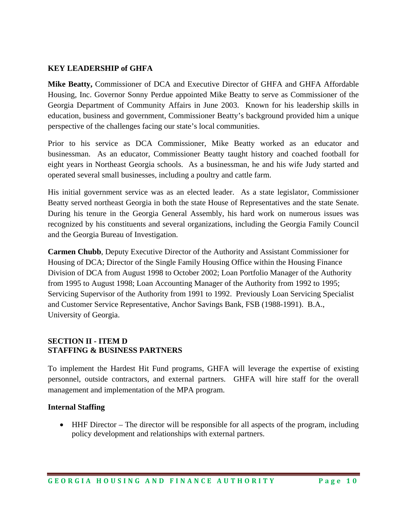### **KEY LEADERSHIP of GHFA**

**Mike Beatty,** Commissioner of DCA and Executive Director of GHFA and GHFA Affordable Housing, Inc. Governor Sonny Perdue appointed Mike Beatty to serve as Commissioner of the Georgia Department of Community Affairs in June 2003. Known for his leadership skills in education, business and government, Commissioner Beatty's background provided him a unique perspective of the challenges facing our state's local communities.

Prior to his service as DCA Commissioner, Mike Beatty worked as an educator and businessman. As an educator, Commissioner Beatty taught history and coached football for eight years in Northeast Georgia schools. As a businessman, he and his wife Judy started and operated several small businesses, including a poultry and cattle farm.

His initial government service was as an elected leader. As a state legislator, Commissioner Beatty served northeast Georgia in both the state House of Representatives and the state Senate. During his tenure in the Georgia General Assembly, his hard work on numerous issues was recognized by his constituents and several organizations, including the Georgia Family Council and the Georgia Bureau of Investigation.

**Carmen Chubb**, Deputy Executive Director of the Authority and Assistant Commissioner for Housing of DCA; Director of the Single Family Housing Office within the Housing Finance Division of DCA from August 1998 to October 2002; Loan Portfolio Manager of the Authority from 1995 to August 1998; Loan Accounting Manager of the Authority from 1992 to 1995; Servicing Supervisor of the Authority from 1991 to 1992. Previously Loan Servicing Specialist and Customer Service Representative, Anchor Savings Bank, FSB (1988-1991). B.A., University of Georgia.

### **SECTION II - ITEM D STAFFING & BUSINESS PARTNERS**

To implement the Hardest Hit Fund programs, GHFA will leverage the expertise of existing personnel, outside contractors, and external partners. GHFA will hire staff for the overall management and implementation of the MPA program.

### **Internal Staffing**

• HHF Director – The director will be responsible for all aspects of the program, including policy development and relationships with external partners.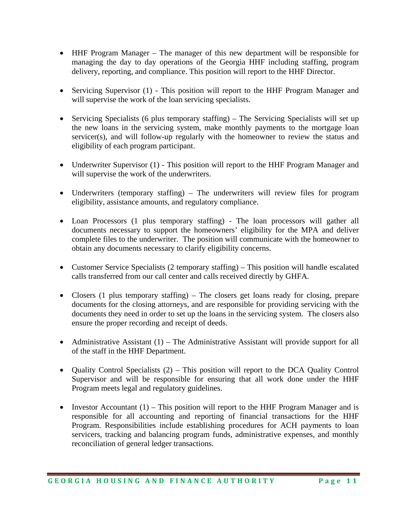- HHF Program Manager The manager of this new department will be responsible for managing the day to day operations of the Georgia HHF including staffing, program delivery, reporting, and compliance. This position will report to the HHF Director.
- Servicing Supervisor (1) This position will report to the HHF Program Manager and will supervise the work of the loan servicing specialists.
- Servicing Specialists (6 plus temporary staffing) The Servicing Specialists will set up the new loans in the servicing system, make monthly payments to the mortgage loan servicer(s), and will follow-up regularly with the homeowner to review the status and eligibility of each program participant.
- Underwriter Supervisor (1) This position will report to the HHF Program Manager and will supervise the work of the underwriters.
- Underwriters (temporary staffing) The underwriters will review files for program eligibility, assistance amounts, and regulatory compliance.
- Loan Processors (1 plus temporary staffing) The loan processors will gather all documents necessary to support the homeowners' eligibility for the MPA and deliver complete files to the underwriter. The position will communicate with the homeowner to obtain any documents necessary to clarify eligibility concerns.
- Customer Service Specialists (2 temporary staffing) This position will handle escalated calls transferred from our call center and calls received directly by GHFA.
- Closers (1 plus temporary staffing) The closers get loans ready for closing, prepare documents for the closing attorneys, and are responsible for providing servicing with the documents they need in order to set up the loans in the servicing system. The closers also ensure the proper recording and receipt of deeds.
- Administrative Assistant (1) The Administrative Assistant will provide support for all of the staff in the HHF Department.
- Quality Control Specialists (2) This position will report to the DCA Quality Control Supervisor and will be responsible for ensuring that all work done under the HHF Program meets legal and regulatory guidelines.
- Investor Accountant  $(1)$  This position will report to the HHF Program Manager and is responsible for all accounting and reporting of financial transactions for the HHF Program. Responsibilities include establishing procedures for ACH payments to loan servicers, tracking and balancing program funds, administrative expenses, and monthly reconciliation of general ledger transactions.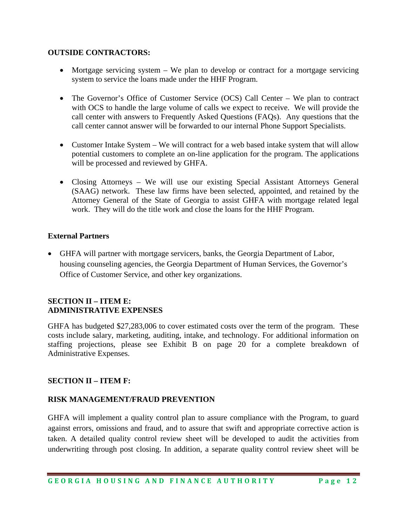### **OUTSIDE CONTRACTORS:**

- Mortgage servicing system We plan to develop or contract for a mortgage servicing system to service the loans made under the HHF Program.
- The Governor's Office of Customer Service (OCS) Call Center We plan to contract with OCS to handle the large volume of calls we expect to receive. We will provide the call center with answers to Frequently Asked Questions (FAQs). Any questions that the call center cannot answer will be forwarded to our internal Phone Support Specialists.
- Customer Intake System We will contract for a web based intake system that will allow potential customers to complete an on-line application for the program. The applications will be processed and reviewed by GHFA.
- Closing Attorneys We will use our existing Special Assistant Attorneys General (SAAG) network. These law firms have been selected, appointed, and retained by the Attorney General of the State of Georgia to assist GHFA with mortgage related legal work. They will do the title work and close the loans for the HHF Program.

### **External Partners**

• GHFA will partner with mortgage servicers, banks, the Georgia Department of Labor, housing counseling agencies, the Georgia Department of Human Services, the Governor's Office of Customer Service, and other key organizations.

### **SECTION II – ITEM E: ADMINISTRATIVE EXPENSES**

GHFA has budgeted \$27,283,006 to cover estimated costs over the term of the program. These costs include salary, marketing, auditing, intake, and technology. For additional information on staffing projections, please see Exhibit B on page 20 for a complete breakdown of Administrative Expenses.

# **SECTION II – ITEM F:**

# **RISK MANAGEMENT/FRAUD PREVENTION**

GHFA will implement a quality control plan to assure compliance with the Program, to guard against errors, omissions and fraud, and to assure that swift and appropriate corrective action is taken. A detailed quality control review sheet will be developed to audit the activities from underwriting through post closing. In addition, a separate quality control review sheet will be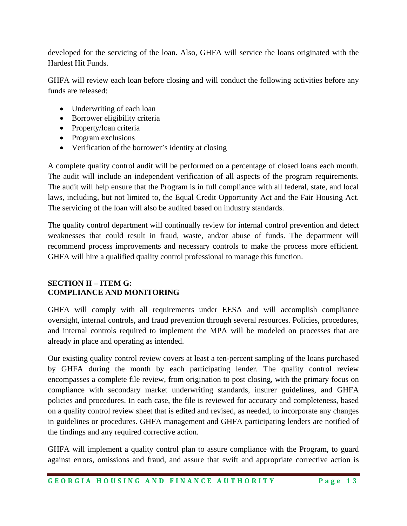developed for the servicing of the loan. Also, GHFA will service the loans originated with the Hardest Hit Funds.

GHFA will review each loan before closing and will conduct the following activities before any funds are released:

- Underwriting of each loan
- Borrower eligibility criteria
- Property/loan criteria
- Program exclusions
- Verification of the borrower's identity at closing

A complete quality control audit will be performed on a percentage of closed loans each month. The audit will include an independent verification of all aspects of the program requirements. The audit will help ensure that the Program is in full compliance with all federal, state, and local laws, including, but not limited to, the Equal Credit Opportunity Act and the Fair Housing Act. The servicing of the loan will also be audited based on industry standards.

The quality control department will continually review for internal control prevention and detect weaknesses that could result in fraud, waste, and/or abuse of funds. The department will recommend process improvements and necessary controls to make the process more efficient. GHFA will hire a qualified quality control professional to manage this function.

# **SECTION II – ITEM G: COMPLIANCE AND MONITORING**

GHFA will comply with all requirements under EESA and will accomplish compliance oversight, internal controls, and fraud prevention through several resources. Policies, procedures, and internal controls required to implement the MPA will be modeled on processes that are already in place and operating as intended.

Our existing quality control review covers at least a ten-percent sampling of the loans purchased by GHFA during the month by each participating lender. The quality control review encompasses a complete file review, from origination to post closing, with the primary focus on compliance with secondary market underwriting standards, insurer guidelines, and GHFA policies and procedures. In each case, the file is reviewed for accuracy and completeness, based on a quality control review sheet that is edited and revised, as needed, to incorporate any changes in guidelines or procedures. GHFA management and GHFA participating lenders are notified of the findings and any required corrective action.

GHFA will implement a quality control plan to assure compliance with the Program, to guard against errors, omissions and fraud, and assure that swift and appropriate corrective action is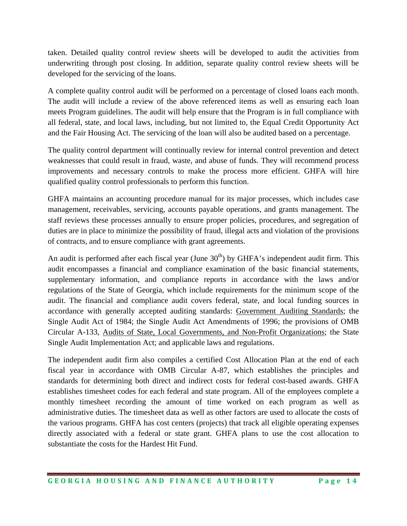taken. Detailed quality control review sheets will be developed to audit the activities from underwriting through post closing. In addition, separate quality control review sheets will be developed for the servicing of the loans.

A complete quality control audit will be performed on a percentage of closed loans each month. The audit will include a review of the above referenced items as well as ensuring each loan meets Program guidelines. The audit will help ensure that the Program is in full compliance with all federal, state, and local laws, including, but not limited to, the Equal Credit Opportunity Act and the Fair Housing Act. The servicing of the loan will also be audited based on a percentage.

The quality control department will continually review for internal control prevention and detect weaknesses that could result in fraud, waste, and abuse of funds. They will recommend process improvements and necessary controls to make the process more efficient. GHFA will hire qualified quality control professionals to perform this function.

GHFA maintains an accounting procedure manual for its major processes, which includes case management, receivables, servicing, accounts payable operations, and grants management. The staff reviews these processes annually to ensure proper policies, procedures, and segregation of duties are in place to minimize the possibility of fraud, illegal acts and violation of the provisions of contracts, and to ensure compliance with grant agreements.

An audit is performed after each fiscal year (June  $30<sup>th</sup>$ ) by GHFA's independent audit firm. This audit encompasses a financial and compliance examination of the basic financial statements, supplementary information, and compliance reports in accordance with the laws and/or regulations of the State of Georgia, which include requirements for the minimum scope of the audit. The financial and compliance audit covers federal, state, and local funding sources in accordance with generally accepted auditing standards: Government Auditing Standards; the Single Audit Act of 1984; the Single Audit Act Amendments of 1996; the provisions of OMB Circular A-133, Audits of State, Local Governments, and Non-Profit Organizations; the State Single Audit Implementation Act; and applicable laws and regulations.

The independent audit firm also compiles a certified Cost Allocation Plan at the end of each fiscal year in accordance with OMB Circular A-87, which establishes the principles and standards for determining both direct and indirect costs for federal cost-based awards. GHFA establishes timesheet codes for each federal and state program. All of the employees complete a monthly timesheet recording the amount of time worked on each program as well as administrative duties. The timesheet data as well as other factors are used to allocate the costs of the various programs. GHFA has cost centers (projects) that track all eligible operating expenses directly associated with a federal or state grant. GHFA plans to use the cost allocation to substantiate the costs for the Hardest Hit Fund.